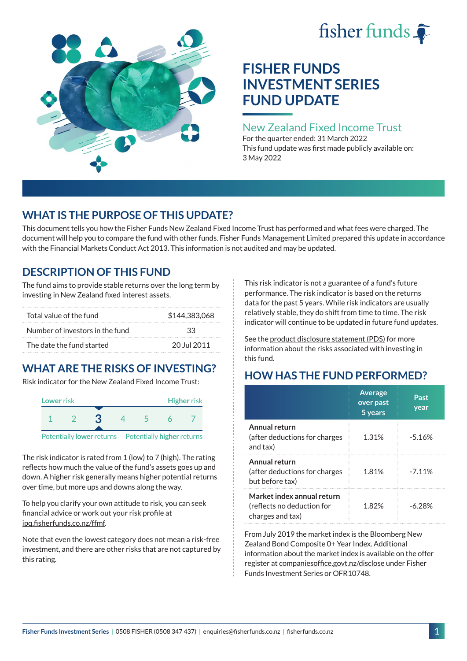



# **FISHER FUNDS INVESTMENT SERIES FUND UPDATE**

## New Zealand Fixed Income Trust

For the quarter ended: 31 March 2022 This fund update was first made publicly available on: 3 May 2022

# **WHAT IS THE PURPOSE OF THIS UPDATE?**

This document tells you how the Fisher Funds New Zealand Fixed Income Trust has performed and what fees were charged. The document will help you to compare the fund with other funds. Fisher Funds Management Limited prepared this update in accordance with the Financial Markets Conduct Act 2013. This information is not audited and may be updated.

## **DESCRIPTION OF THIS FUND**

The fund aims to provide stable returns over the long term by investing in New Zealand fixed interest assets.

| Total value of the fund         | \$144,383,068 |  |  |
|---------------------------------|---------------|--|--|
| Number of investors in the fund | スス            |  |  |
| The date the fund started       | 20 Jul 2011   |  |  |

# **WHAT ARE THE RISKS OF INVESTING?**

Risk indicator for the New Zealand Fixed Income Trust:



Potentially **lower** returns Potentially **higher** returns

The risk indicator is rated from 1 (low) to 7 (high). The rating reflects how much the value of the fund's assets goes up and down. A higher risk generally means higher potential returns over time, but more ups and downs along the way.

To help you clarify your own attitude to risk, you can seek financial advice or work out your risk profile at [ipq.fisherfunds.co.nz/ffmf.](https://ipq.fisherfunds.co.nz/ffmf)

Note that even the lowest category does not mean a risk-free investment, and there are other risks that are not captured by this rating.

This risk indicator is not a guarantee of a fund's future performance. The risk indicator is based on the returns data for the past 5 years. While risk indicators are usually relatively stable, they do shift from time to time. The risk indicator will continue to be updated in future fund updates.

See the [product disclosure statement \(PDS\)](https://fisherfunds.co.nz/assets/PDS/Fisher-Funds-Investment-Series-PDS.pdf) for more information about the risks associated with investing in this fund.

# **HOW HAS THE FUND PERFORMED?**

|                                                                              | <b>Average</b><br>over past<br>5 years | Past<br>year |
|------------------------------------------------------------------------------|----------------------------------------|--------------|
| Annual return<br>(after deductions for charges<br>and tax)                   | 1.31%                                  | $-5.16%$     |
| Annual return<br>(after deductions for charges<br>but before tax)            | 1.81%                                  | $-7.11%$     |
| Market index annual return<br>(reflects no deduction for<br>charges and tax) | 1.82%                                  | -6.28%       |

From July 2019 the market index is the Bloomberg New Zealand Bond Composite 0+ Year Index. Additional information about the market index is available on the offer register at [companiesoffice.govt.nz/disclose](http://companiesoffice.govt.nz/disclose) under Fisher Funds Investment Series or OFR10748.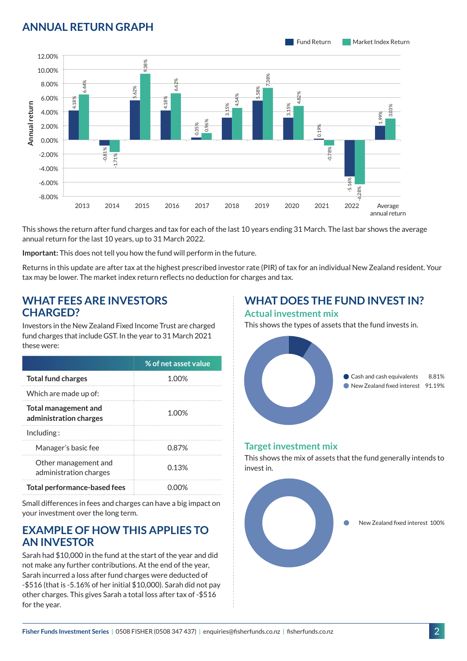## **ANNUAL RETURN GRAPH**



This shows the return after fund charges and tax for each of the last 10 years ending 31 March. The last bar shows the average annual return for the last 10 years, up to 31 March 2022.

**Important:** This does not tell you how the fund will perform in the future.

Returns in this update are after tax at the highest prescribed investor rate (PIR) of tax for an individual New Zealand resident. Your tax may be lower. The market index return reflects no deduction for charges and tax.

#### **WHAT FEES ARE INVESTORS CHARGED?**

Investors in the New Zealand Fixed Income Trust are charged fund charges that include GST. In the year to 31 March 2021 these were:

|                                                | % of net asset value |
|------------------------------------------------|----------------------|
| <b>Total fund charges</b>                      | 1 በበ%                |
| Which are made up of:                          |                      |
| Total management and<br>administration charges | 1.00%                |
| Inding:                                        |                      |
| Manager's basic fee                            | 0.87%                |
| Other management and<br>administration charges | 0.13%                |
| Total performance-based fees                   |                      |

Small differences in fees and charges can have a big impact on your investment over the long term.

### **EXAMPLE OF HOW THIS APPLIES TO AN INVESTOR**

Sarah had \$10,000 in the fund at the start of the year and did not make any further contributions. At the end of the year, Sarah incurred a loss after fund charges were deducted of -\$516 (that is -5.16% of her initial \$10,000). Sarah did not pay other charges. This gives Sarah a total loss after tax of -\$516 for the year.

#### **WHAT DOES THE FUND INVEST IN? Actual investment mix**

This shows the types of assets that the fund invests in.



#### **Target investment mix**

This shows the mix of assets that the fund generally intends to invest in.